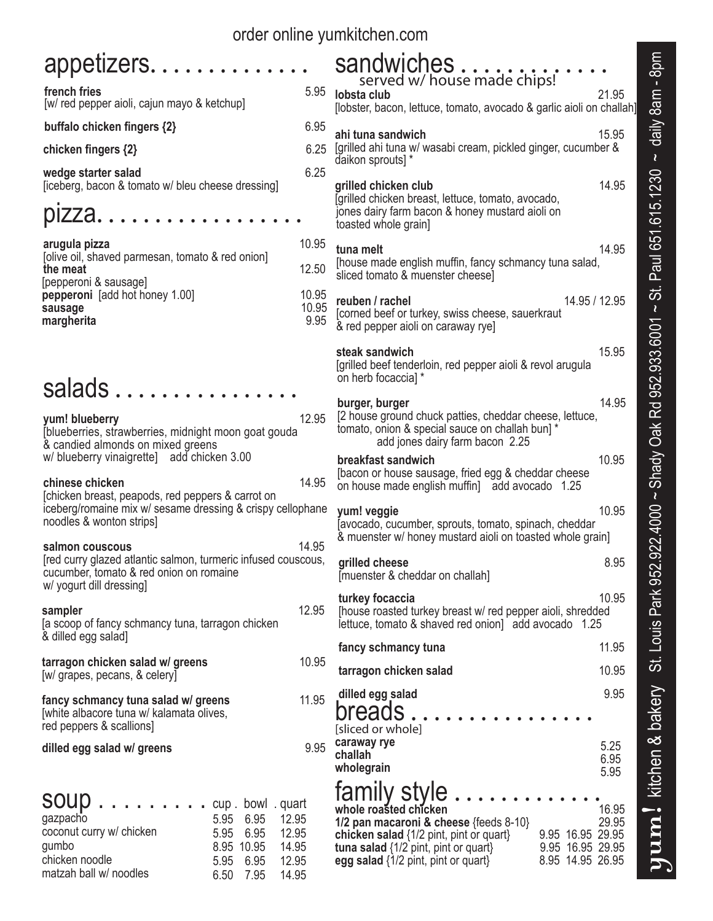| order online yumkitchen.com                                                                                                                                                                                                                          |                        |                                                                                                                                                                                                                                                                                            |                      |  |  |  |
|------------------------------------------------------------------------------------------------------------------------------------------------------------------------------------------------------------------------------------------------------|------------------------|--------------------------------------------------------------------------------------------------------------------------------------------------------------------------------------------------------------------------------------------------------------------------------------------|----------------------|--|--|--|
| appetizers<br>french fries<br>[w/ red pepper aioli, cajun mayo & ketchup]                                                                                                                                                                            | 5.95                   | sandwiches<br>served w/ house made chips!<br>lobsta club                                                                                                                                                                                                                                   | 21.95                |  |  |  |
|                                                                                                                                                                                                                                                      | 6.95                   | [lobster, bacon, lettuce, tomato, avocado & garlic aioli on challah]                                                                                                                                                                                                                       |                      |  |  |  |
| buffalo chicken fingers {2}<br>chicken fingers {2}                                                                                                                                                                                                   | 6.25                   | ahi tuna sandwich<br>[grilled ahi tuna w/ wasabi cream, pickled ginger, cucumber &<br>daikon sprouts] *                                                                                                                                                                                    | 15.95                |  |  |  |
| wedge starter salad<br>[iceberg, bacon & tomato w/ bleu cheese dressing]                                                                                                                                                                             | 6.25                   | grilled chicken club<br>[grilled chicken breast, lettuce, tomato, avocado,                                                                                                                                                                                                                 | 14.95                |  |  |  |
| pızza.                                                                                                                                                                                                                                               |                        | jones dairy farm bacon & honey mustard aioli on<br>toasted whole grain]                                                                                                                                                                                                                    |                      |  |  |  |
| arugula pizza<br>[olive oil, shaved parmesan, tomato & red onion]<br>the meat<br>[pepperoni & sausage]<br>pepperoni [add hot honey 1.00]<br>sausage<br>margherita                                                                                    | 10.95<br>12.50         | tuna melt<br>[house made english muffin, fancy schmancy tuna salad,<br>sliced tomato & muenster cheese]                                                                                                                                                                                    | 14.95                |  |  |  |
|                                                                                                                                                                                                                                                      | 10.95<br>10.95<br>9.95 | reuben / rachel<br>14.95 / 12.95<br>[corned beef or turkey, swiss cheese, sauerkraut<br>& red pepper aioli on caraway rye]                                                                                                                                                                 |                      |  |  |  |
|                                                                                                                                                                                                                                                      |                        | steak sandwich<br>[grilled beef tenderloin, red pepper aioli & revol arugula<br>on herb focaccia] *                                                                                                                                                                                        | 15.95                |  |  |  |
| salads                                                                                                                                                                                                                                               |                        | burger, burger                                                                                                                                                                                                                                                                             | 14.95                |  |  |  |
| 12.95<br>yum! blueberry<br>blueberries, strawberries, midnight moon goat gouda<br>& candied almonds on mixed greens                                                                                                                                  |                        | [2 house ground chuck patties, cheddar cheese, lettuce,<br>tomato, onion & special sauce on challah bun] *<br>add jones dairy farm bacon 2.25                                                                                                                                              |                      |  |  |  |
| w/ blueberry vinaigrette] add chicken 3.00                                                                                                                                                                                                           |                        | breakfast sandwich                                                                                                                                                                                                                                                                         | 10.95                |  |  |  |
| 14.95<br>chinese chicken<br>[chicken breast, peapods, red peppers & carrot on<br>iceberg/romaine mix w/ sesame dressing & crispy cellophane<br>noodles & wonton strips]                                                                              |                        | [bacon or house sausage, fried egg & cheddar cheese<br>on house made english muffin] add avocado 1.25<br>10.95<br>yum! veggie<br>Javocado, cucumber, sprouts, tomato, spinach, cheddar                                                                                                     |                      |  |  |  |
| salmon couscous                                                                                                                                                                                                                                      | 14.95                  | & muenster w/ honey mustard aioli on toasted whole grain]                                                                                                                                                                                                                                  |                      |  |  |  |
| [red curry glazed atlantic salmon, turmeric infused couscous,<br>cucumber, tomato & red onion on romaine<br>w/ yogurt dill dressing]                                                                                                                 |                        | grilled cheese<br>[muenster & cheddar on challah]                                                                                                                                                                                                                                          | 8.95                 |  |  |  |
| sampler<br>[a scoop of fancy schmancy tuna, tarragon chicken<br>& dilled egg salad]                                                                                                                                                                  | 12.95                  | turkey focaccia<br>[house roasted turkey breast w/ red pepper aioli, shredded<br>lettuce, tomato & shaved red onion] add avocado 1.25                                                                                                                                                      | 10.95                |  |  |  |
| tarragon chicken salad w/ greens                                                                                                                                                                                                                     | 10.95                  | fancy schmancy tuna                                                                                                                                                                                                                                                                        | 11.95                |  |  |  |
| [w/ grapes, pecans, & celery]                                                                                                                                                                                                                        |                        | tarragon chicken salad                                                                                                                                                                                                                                                                     | 10.95                |  |  |  |
| fancy schmancy tuna salad w/ greens<br>[white albacore tuna w/ kalamata olives,<br>red peppers & scallions]                                                                                                                                          | 11.95                  | dilled egg salad<br>breads<br>[sliced or whole]                                                                                                                                                                                                                                            | 9.95                 |  |  |  |
| dilled egg salad w/ greens                                                                                                                                                                                                                           | 9.95                   | caraway rye<br>challah<br>wholegrain                                                                                                                                                                                                                                                       | 5.25<br>6.95<br>5.95 |  |  |  |
| soup<br>. cup . bowl . quart<br>gazpacho<br>5.95<br>6.95<br>12.95<br>coconut curry w/ chicken<br>5.95<br>6.95<br>12.95<br>gumbo<br>8.95 10.95<br>14.95<br>chicken noodle<br>5.95<br>6.95<br>12.95<br>matzah ball w/ noodles<br>7.95<br>6.50<br>14.95 |                        | family style<br>whole roasted chicken<br>1/2 pan macaroni & cheese ${feeds 8-10}$<br>9.95 16.95 29.95<br>chicken salad $\{1/2$ pint, pint or quart}<br>tuna salad $\{1/2$ pint, pint or quart}<br>9.95 16.95 29.95<br>8.95 14.95 26.95<br>egg salad $\{1/2 \text{ pint, pint or quart}\}\$ | 16.95<br>29.95       |  |  |  |